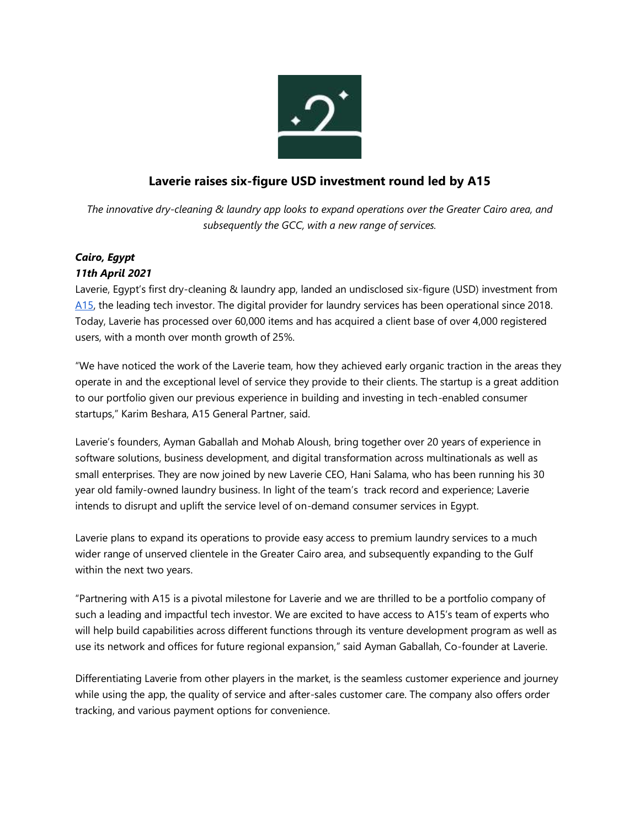

## **Laverie raises six-figure USD investment round led by A15**

*The innovative dry-cleaning & laundry app looks to expand operations over the Greater Cairo area, and subsequently the GCC, with a new range of services.*

## *Cairo, Egypt 11th April 2021*

Laverie, Egypt's first dry-cleaning & laundry app, landed an undisclosed six-figure (USD) investment from [A15,](http://www.a15.com/) the leading tech investor. The digital provider for laundry services has been operational since 2018. Today, Laverie has processed over 60,000 items and has acquired a client base of over 4,000 registered users, with a month over month growth of 25%.

"We have noticed the work of the Laverie team, how they achieved early organic traction in the areas they operate in and the exceptional level of service they provide to their clients. The startup is a great addition to our portfolio given our previous experience in building and investing in tech-enabled consumer startups," Karim Beshara, A15 General Partner, said.

Laverie's founders, Ayman Gaballah and Mohab Aloush, bring together over 20 years of experience in software solutions, business development, and digital transformation across multinationals as well as small enterprises. They are now joined by new Laverie CEO, Hani Salama, who has been running his 30 year old family-owned laundry business. In light of the team's track record and experience; Laverie intends to disrupt and uplift the service level of on-demand consumer services in Egypt.

Laverie plans to expand its operations to provide easy access to premium laundry services to a much wider range of unserved clientele in the Greater Cairo area, and subsequently expanding to the Gulf within the next two years.

"Partnering with A15 is a pivotal milestone for Laverie and we are thrilled to be a portfolio company of such a leading and impactful tech investor. We are excited to have access to A15's team of experts who will help build capabilities across different functions through its venture development program as well as use its network and offices for future regional expansion," said Ayman Gaballah, Co-founder at Laverie.

Differentiating Laverie from other players in the market, is the seamless customer experience and journey while using the app, the quality of service and after-sales customer care. The company also offers order tracking, and various payment options for convenience.